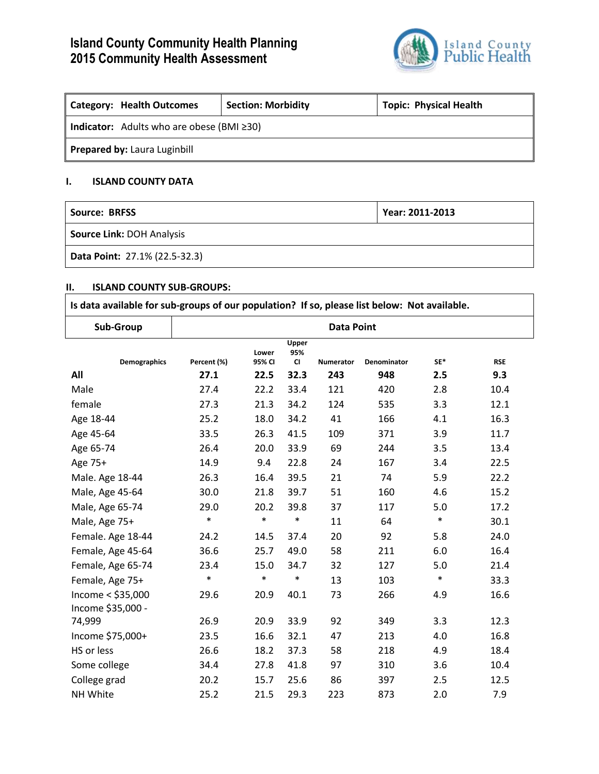# **Island County Community Health Planning 2015 Community Health Assessment**



| <b>Category: Health Outcomes</b>                       | <b>Section: Morbidity</b> | <b>Topic: Physical Health</b> |  |  |  |
|--------------------------------------------------------|---------------------------|-------------------------------|--|--|--|
| <b>Indicator:</b> Adults who are obese (BMI $\geq$ 30) |                           |                               |  |  |  |
| <b>Prepared by: Laura Luginbill</b>                    |                           |                               |  |  |  |

## **I. ISLAND COUNTY DATA**

| Source: BRFSS                        | Year: 2011-2013 |
|--------------------------------------|-----------------|
| <b>Source Link: DOH Analysis</b>     |                 |
| <b>Data Point: 27.1% (22.5-32.3)</b> |                 |

### **II. ISLAND COUNTY SUB-GROUPS:**

| Is data available for sub-groups of our population? If so, please list below: Not available. |                   |                 |                           |                  |             |        |            |
|----------------------------------------------------------------------------------------------|-------------------|-----------------|---------------------------|------------------|-------------|--------|------------|
| Sub-Group                                                                                    | <b>Data Point</b> |                 |                           |                  |             |        |            |
| <b>Demographics</b>                                                                          | Percent (%)       | Lower<br>95% CI | Upper<br>95%<br><b>CI</b> | <b>Numerator</b> | Denominator | SF*    | <b>RSE</b> |
| All                                                                                          | 27.1              | 22.5            | 32.3                      | 243              | 948         | 2.5    | 9.3        |
| Male                                                                                         | 27.4              | 22.2            | 33.4                      | 121              | 420         | 2.8    | 10.4       |
| female                                                                                       | 27.3              | 21.3            | 34.2                      | 124              | 535         | 3.3    | 12.1       |
| Age 18-44                                                                                    | 25.2              | 18.0            | 34.2                      | 41               | 166         | 4.1    | 16.3       |
| Age 45-64                                                                                    | 33.5              | 26.3            | 41.5                      | 109              | 371         | 3.9    | 11.7       |
| Age 65-74                                                                                    | 26.4              | 20.0            | 33.9                      | 69               | 244         | 3.5    | 13.4       |
| Age 75+                                                                                      | 14.9              | 9.4             | 22.8                      | 24               | 167         | 3.4    | 22.5       |
| Male. Age 18-44                                                                              | 26.3              | 16.4            | 39.5                      | 21               | 74          | 5.9    | 22.2       |
| Male, Age 45-64                                                                              | 30.0              | 21.8            | 39.7                      | 51               | 160         | 4.6    | 15.2       |
| Male, Age 65-74                                                                              | 29.0              | 20.2            | 39.8                      | 37               | 117         | 5.0    | 17.2       |
| Male, Age 75+                                                                                | $\ast$            | $\ast$          | $\ast$                    | 11               | 64          | $\ast$ | 30.1       |
| Female. Age 18-44                                                                            | 24.2              | 14.5            | 37.4                      | 20               | 92          | 5.8    | 24.0       |
| Female, Age 45-64                                                                            | 36.6              | 25.7            | 49.0                      | 58               | 211         | 6.0    | 16.4       |
| Female, Age 65-74                                                                            | 23.4              | 15.0            | 34.7                      | 32               | 127         | 5.0    | 21.4       |
| Female, Age 75+                                                                              | $\ast$            | $\ast$          | $\ast$                    | 13               | 103         | $\ast$ | 33.3       |
| Income < \$35,000<br>Income \$35,000 -                                                       | 29.6              | 20.9            | 40.1                      | 73               | 266         | 4.9    | 16.6       |
| 74,999                                                                                       | 26.9              | 20.9            | 33.9                      | 92               | 349         | 3.3    | 12.3       |
| Income \$75,000+                                                                             | 23.5              | 16.6            | 32.1                      | 47               | 213         | 4.0    | 16.8       |
| HS or less                                                                                   | 26.6              | 18.2            | 37.3                      | 58               | 218         | 4.9    | 18.4       |
| Some college                                                                                 | 34.4              | 27.8            | 41.8                      | 97               | 310         | 3.6    | 10.4       |
| College grad                                                                                 | 20.2              | 15.7            | 25.6                      | 86               | 397         | 2.5    | 12.5       |
| NH White                                                                                     | 25.2              | 21.5            | 29.3                      | 223              | 873         | 2.0    | 7.9        |